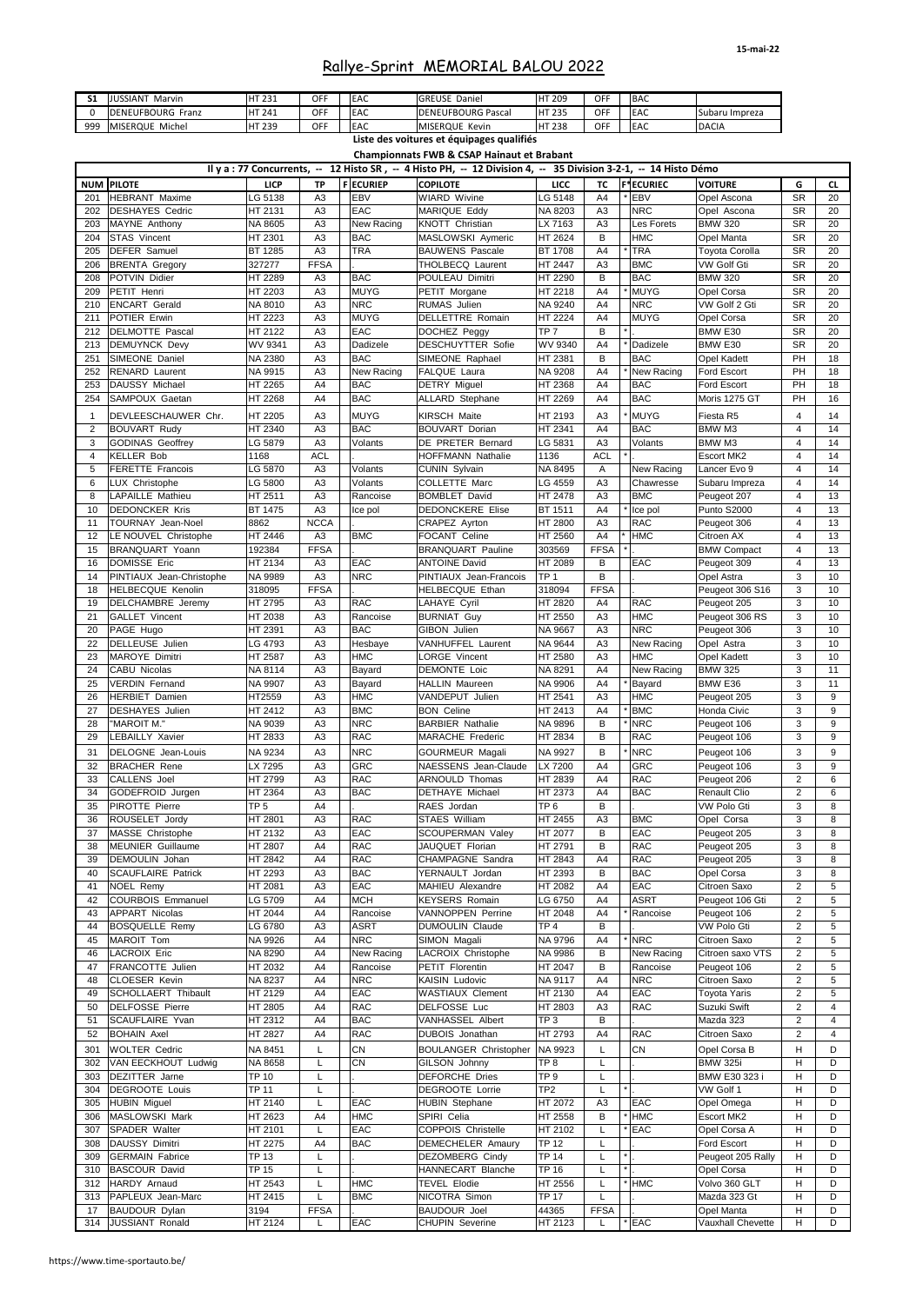| S1       | <b>JUSSIANT Marvin</b>     | <b>HT 231</b>   | <b>OFF</b>     | EAC             | <b>GREUSE Daniel</b>                                                                                             | <b>HT 209</b>   | <b>OFF</b>     | <b>BAC</b>       |                       |                |                 |
|----------|----------------------------|-----------------|----------------|-----------------|------------------------------------------------------------------------------------------------------------------|-----------------|----------------|------------------|-----------------------|----------------|-----------------|
| $\Omega$ | <b>DENEUFBOURG Franz</b>   | HT 241          | <b>OFF</b>     | <b>EAC</b>      | <b>DENEUFBOURG Pascal</b>                                                                                        | <b>HT 235</b>   | <b>OFF</b>     | EAC              | Subaru Impreza        |                |                 |
| 999      | MISERQUE Michel            | <b>HT 239</b>   | <b>OFF</b>     | <b>EAC</b>      | MISERQUE Kevin                                                                                                   | <b>HT 238</b>   | <b>OFF</b>     | <b>EAC</b>       | <b>DACIA</b>          |                |                 |
|          |                            |                 |                |                 | Liste des voitures et équipages qualifiés                                                                        |                 |                |                  |                       |                |                 |
|          |                            |                 |                |                 | <b>Championnats FWB &amp; CSAP Hainaut et Brabant</b>                                                            |                 |                |                  |                       |                |                 |
|          |                            |                 |                |                 |                                                                                                                  |                 |                |                  |                       |                |                 |
|          |                            |                 |                |                 | Il y a : 77 Concurrents, -- 12 Histo SR, -- 4 Histo PH, -- 12 Division 4, -- 35 Division 3-2-1, -- 14 Histo Démo |                 |                |                  |                       |                |                 |
|          | <b>NUM PILOTE</b>          | <b>LICP</b>     | <b>TP</b>      | <b>FECURIEP</b> | <b>COPILOTE</b>                                                                                                  | <b>LICC</b>     | <b>TC</b>      | <b>F*ECURIEC</b> | <b>VOITURE</b>        | G              | <b>CL</b>       |
| 201      | HEBRANT Maxime             | LG 5138         | A <sub>3</sub> | <b>EBV</b>      | <b>WIARD Wivine</b>                                                                                              | LG 5148         | A4             | <b>EBV</b>       | Opel Ascona           | <b>SR</b>      | 20              |
| 202      | <b>DESHAYES Cedric</b>     | HT 2131         | A <sub>3</sub> | <b>EAC</b>      | MARIQUE Eddy                                                                                                     | NA 8203         | A3             | <b>NRC</b>       | Opel Ascona           | <b>SR</b>      | 20              |
| 203      | MAYNE Anthony              | NA 8605         | A <sub>3</sub> | New Racing      | KNOTT Christian                                                                                                  | LX 7163         | A <sub>3</sub> | Les Forets       | <b>BMW 320</b>        | <b>SR</b>      | 20              |
| 204      | <b>STAS Vincent</b>        | HT 2301         | A <sub>3</sub> | <b>BAC</b>      | MASLOWSKI Aymeric                                                                                                | HT 2624         | B              | <b>HMC</b>       | Opel Manta            | <b>SR</b>      | 20              |
| 205      | <b>DEFER Samuel</b>        | <b>BT 1285</b>  | A <sub>3</sub> | <b>TRA</b>      | <b>BAUWENS Pascale</b>                                                                                           | <b>BT 1708</b>  | A4             | <b>TRA</b>       | <b>Toyota Corolla</b> | <b>SR</b>      | 20              |
| 206      | <b>BRENTA Gregory</b>      | 327277          | <b>FFSA</b>    |                 | THOLBECQ Laurent                                                                                                 | <b>HT 2447</b>  | A3             | <b>BMC</b>       | <b>VW Golf Gti</b>    | <b>SR</b>      | 20              |
| 208      | POTVIN Didier              | HT 2289         | A3             | <b>BAC</b>      | POULEAU Dimitri                                                                                                  | HT 2290         | B              | <b>BAC</b>       | <b>BMW 320</b>        | <b>SR</b>      | 20              |
|          |                            |                 |                |                 |                                                                                                                  |                 |                |                  |                       |                |                 |
| 209      | PETIT Henri                | HT 2203         | A <sub>3</sub> | <b>MUYG</b>     | PETIT Morgane                                                                                                    | HT 2218         | A4             | <b>MUYG</b>      | Opel Corsa            | <b>SR</b>      | 20              |
| 210      | <b>ENCART</b> Gerald       | <b>NA 8010</b>  | A <sub>3</sub> | <b>NRC</b>      | <b>RUMAS</b> Julien                                                                                              | NA 9240         | A4             | <b>NRC</b>       | VW Golf 2 Gti         | <b>SR</b>      | 20              |
| 211      | POTIER Erwin               | HT 2223         | A <sub>3</sub> | <b>MUYG</b>     | <b>DELLETTRE Romain</b>                                                                                          | <b>HT 2224</b>  | A4             | <b>MUYG</b>      | Opel Corsa            | <b>SR</b>      | 20              |
| 212      | DELMOTTE Pascal            | HT 2122         | A <sub>3</sub> | <b>EAC</b>      | DOCHEZ Peggy                                                                                                     | TP <sub>7</sub> | B              |                  | BMW E30               | <b>SR</b>      | 20              |
| 213      | <b>DEMUYNCK Devy</b>       | WV 9341         | A <sub>3</sub> | <b>Dadizele</b> | <b>DESCHUYTTER Sofie</b>                                                                                         | WV 9340         | A4             | Dadizele         | BMW E30               | <b>SR</b>      | 20              |
| 251      | SIMEONE Daniel             | <b>NA 2380</b>  | A <sub>3</sub> | <b>BAC</b>      | SIMEONE Raphael                                                                                                  | HT 2381         | B              | <b>BAC</b>       | Opel Kadett           | PH             | 18              |
| 252      | <b>RENARD</b> Laurent      | NA 9915         | A <sub>3</sub> | New Racing      | <b>FALQUE Laura</b>                                                                                              | <b>NA 9208</b>  | A4             | New Racing       | Ford Escort           | PH             | 18              |
| 253      | DAUSSY Michael             | HT 2265         | A4             | <b>BAC</b>      | <b>DETRY Miguel</b>                                                                                              | <b>HT 2368</b>  | A4             | <b>BAC</b>       | Ford Escort           | PH             | 18              |
| 254      | <b>SAMPOUX Gaetan</b>      | HT 2268         | A4             | <b>BAC</b>      | <b>ALLARD</b> Stephane                                                                                           | HT 2269         | A4             | <b>BAC</b>       | Moris 1275 GT         | <b>PH</b>      | 16              |
|          |                            |                 |                |                 |                                                                                                                  |                 |                |                  |                       |                |                 |
|          | DEVLEESCHAUWER Chr.        | HT 2205         | A <sub>3</sub> | <b>MUYG</b>     | <b>KIRSCH Maite</b>                                                                                              | HT 2193         | A <sub>3</sub> | * MUYG           | Fiesta R5             | 4              | 14              |
| 2        | <b>BOUVART Rudy</b>        | HT 2340         | A <sub>3</sub> | <b>BAC</b>      | <b>BOUVART Dorian</b>                                                                                            | HT 2341         | A4             | <b>BAC</b>       | BMW M3                | 4              | 14              |
| 3        | <b>GODINAS Geoffrey</b>    | LG 5879         | A <sub>3</sub> | Volants         | DE PRETER Bernard                                                                                                | LG 5831         | A3             | Volants          | BMW M3                | 4              | 14              |
|          | <b>KELLER Bob</b>          | 1168            | <b>ACL</b>     |                 | HOFFMANN Nathalie                                                                                                | 1136            | <b>ACL</b>     |                  | Escort MK2            | 4              | 14              |
| 5        | <b>FERETTE Francois</b>    | LG 5870         | A <sub>3</sub> | Volants         | <b>CUNIN Sylvain</b>                                                                                             | NA 8495         | A              | New Racing       | Lancer Evo 9          | 4              | 14              |
| 6        | LUX Christophe             | LG 5800         | A <sub>3</sub> | Volants         | <b>COLLETTE Marc</b>                                                                                             | LG 4559         | A <sub>3</sub> | Chawresse        | Subaru Impreza        | 4              | 14              |
|          | <b>LAPAILLE Mathieu</b>    | HT 2511         | A <sub>3</sub> | Rancoise        | <b>BOMBLET David</b>                                                                                             | HT 2478         | A3             | <b>BMC</b>       | Peugeot 207           | 4              | 13              |
| 10       | <b>DEDONCKER Kris</b>      | <b>BT 1475</b>  | A <sub>3</sub> | Ice pol         | <b>DEDONCKERE Elise</b>                                                                                          | <b>BT 1511</b>  | A4             | Ice pol          | Punto S2000           | 4              | 13              |
| 11       | <b>TOURNAY Jean-Noel</b>   | 8862            | <b>NCCA</b>    |                 | CRAPEZ Ayrton                                                                                                    | HT 2800         | A <sub>3</sub> | <b>RAC</b>       | Peugeot 306           | 4              | 13              |
|          |                            |                 |                |                 |                                                                                                                  |                 |                |                  |                       |                |                 |
| 12       | LE NOUVEL Christophe       | HT 2446         | A <sub>3</sub> | <b>BMC</b>      | FOCANT Celine                                                                                                    | HT 2560         | A4             | <b>HMC</b>       | Citroen AX            | 4              | 13              |
| 15       | <b>BRANQUART Yoann</b>     | 192384          | <b>FFSA</b>    |                 | <b>BRANQUART Pauline</b>                                                                                         | 303569          | <b>FFSA</b>    |                  | <b>BMW Compact</b>    | 4              | 13              |
| 16       | <b>DOMISSE Eric</b>        | HT 2134         | A <sub>3</sub> | <b>EAC</b>      | <b>ANTOINE David</b>                                                                                             | HT 2089         | B              | <b>EAC</b>       | Peugeot 309           | 4              | 13              |
| 14       | PINTIAUX Jean-Christophe   | NA 9989         | A <sub>3</sub> | <b>NRC</b>      | PINTIAUX Jean-Francois                                                                                           | TP <sub>1</sub> | B              |                  | Opel Astra            | 3              | 10              |
| 18       | <b>HELBECQUE Kenolin</b>   | 318095          | <b>FFSA</b>    |                 | HELBECQUE Ethan                                                                                                  | 318094          | <b>FFSA</b>    |                  | Peugeot 306 S16       | 3              | 10              |
| 19       | <b>DELCHAMBRE</b> Jeremy   | HT 2795         | A <sub>3</sub> | <b>RAC</b>      | LAHAYE Cyril                                                                                                     | <b>HT 2820</b>  | A4             | <b>RAC</b>       | Peugeot 205           | 3              | 10 <sup>°</sup> |
| 21       | <b>GALLET Vincent</b>      | HT 2038         | A <sub>3</sub> | Rancoise        | <b>BURNIAT Guy</b>                                                                                               | HT 2550         | A <sub>3</sub> | <b>HMC</b>       | Peugeot 306 RS        | 3              | 10              |
| 20       | PAGE Hugo                  | HT 2391         | A <sub>3</sub> | <b>BAC</b>      | GIBON Julien                                                                                                     | NA 9667         | A <sub>3</sub> | <b>NRC</b>       | Peugeot 306           | 3              | 10 <sup>°</sup> |
| 22       | <b>DELLEUSE</b> Julien     | LG 4793         | A3             | Hesbaye         | VANHUFFEL Laurent                                                                                                | NA 9644         | A <sub>3</sub> | New Racing       | Opel Astra            | 3              | 10 <sup>°</sup> |
| 23       | MAROYE Dimitri             | HT 2587         | A <sub>3</sub> | <b>HMC</b>      | LORGE Vincent                                                                                                    | HT 2580         | A <sub>3</sub> | <b>HMC</b>       | Opel Kadett           | 3              | 10              |
| 24       | <b>CABU Nicolas</b>        |                 | A3             | Bayard          | DEMONTE Loic                                                                                                     | NA 8291         | A4             | New Racing       | <b>BMW 325</b>        | 3              | 11              |
|          |                            | NA 8114         |                |                 |                                                                                                                  |                 |                |                  |                       |                |                 |
| 25       | <b>VERDIN Fernand</b>      | NA 9907         | A <sub>3</sub> | Bayard          | <b>HALLIN</b> Maureen                                                                                            | NA 9906         | A4             | Bayard           | BMW E36               | 3              | 11              |
| 26       | <b>HERBIET Damien</b>      | HT2559          | A <sub>3</sub> | <b>HMC</b>      | VANDEPUT Julien                                                                                                  | HT 2541         | A <sub>3</sub> | <b>HMC</b>       | Peugeot 205           | 3              | 9               |
| 27       | <b>DESHAYES</b> Julien     | HT 2412         | A3             | <b>BMC</b>      | <b>BON Celine</b>                                                                                                | HT 2413         | A4             | <b>BMC</b>       | Honda Civic           | 3              | 9               |
| 28       | "MAROIT M."                | NA 9039         | A <sub>3</sub> | <b>NRC</b>      | <b>BARBIER Nathalie</b>                                                                                          | <b>NA 9896</b>  | B              | <b>NRC</b>       | Peugeot 106           | 3              | 9               |
| 29       | <b>LEBAILLY Xavier</b>     | HT 2833         | A <sub>3</sub> | <b>RAC</b>      | <b>MARACHE Frederic</b>                                                                                          | <b>HT 2834</b>  | B              | <b>RAC</b>       | Peugeot 106           | 3              | 9               |
| 31       | DELOGNE Jean-Louis         | NA 9234         | A <sub>3</sub> | <b>NRC</b>      | <b>GOURMEUR Magali</b>                                                                                           | NA 9927         | B              | <b>NRC</b>       | Peugeot 106           | 3              | 9               |
| 32       | <b>BRACHER Rene</b>        | LX 7295         | A3             | <b>GRC</b>      | NAESSENS Jean-Claude                                                                                             | LX 7200         | A4             | <b>GRC</b>       | Peugeot 106           | 3              | 9               |
| 33       | <b>CALLENS Joel</b>        | HT 2799         | A <sub>3</sub> | <b>RAC</b>      | ARNOULD Thomas                                                                                                   | HT 2839         | A4             | <b>RAC</b>       | Peugeot 206           | $\overline{2}$ | 6               |
| 34       | GODEFROID Jurgen           | HT 2364         | A <sub>3</sub> | <b>BAC</b>      | <b>DETHAYE Michael</b>                                                                                           | HT 2373         | A4             | <b>BAC</b>       | <b>Renault Clio</b>   | 2              | 6               |
|          |                            |                 |                |                 |                                                                                                                  |                 |                |                  |                       |                |                 |
| 35       | <b>PIROTTE Pierre</b>      | TP <sub>5</sub> | A4             |                 | RAES Jordan                                                                                                      | TP <sub>6</sub> | B              |                  | <b>VW Polo Gti</b>    | 3              | 8               |
|          | ROUSELET Jordy             | <b>HT 2801</b>  | A3             | <b>RAC</b>      | STAES William                                                                                                    | HT 2455         | A <sub>3</sub> | <b>BMC</b>       | Opel Corsa            | 3              | 8               |
| 37       | MASSE Christophe           | HT 2132         | A3             | <b>EAC</b>      | <b>SCOUPERMAN Valey</b>                                                                                          | HT 2077         | B              | <b>EAC</b>       | Peugeot 205           | 3              | 8               |
| 38       | <b>MEUNIER Guillaume</b>   | <b>HT 2807</b>  | A4             | <b>RAC</b>      | JAUQUET Florian                                                                                                  | HT 2791         | B              | <b>RAC</b>       | Peugeot 205           | 3              | 8               |
| 39       | DEMOULIN Johan             | HT 2842         | A4             | <b>RAC</b>      | CHAMPAGNE Sandra                                                                                                 | <b>HT 2843</b>  | A4             | <b>RAC</b>       | Peugeot 205           | 3              | 8               |
| 40       | <b>SCAUFLAIRE Patrick</b>  | HT 2293         | A <sub>3</sub> | <b>BAC</b>      | YERNAULT Jordan                                                                                                  | <b>HT 2393</b>  | B              | <b>BAC</b>       | Opel Corsa            | 3              | 8               |
| 41       | <b>NOEL Remy</b>           | HT 2081         | A <sub>3</sub> | <b>EAC</b>      | MAHIEU Alexandre                                                                                                 | HT 2082         | A4             | <b>EAC</b>       | Citroen Saxo          | $\overline{2}$ | 5               |
| 42       | <b>COURBOIS Emmanuel</b>   | LG 5709         | A4             | <b>MCH</b>      | <b>KEYSERS Romain</b>                                                                                            | LG 6750         | A4             | <b>ASRT</b>      | Peugeot 106 Gti       | $\overline{2}$ | 5               |
| 43       | <b>APPART Nicolas</b>      | HT 2044         | A4             | Rancoise        | <b>VANNOPPEN Perrine</b>                                                                                         | HT 2048         | A4             | Rancoise         | Peugeot 106           | $\overline{2}$ | 5               |
| 44       | <b>BOSQUELLE Remy</b>      | LG 6780         | A <sub>3</sub> | <b>ASRT</b>     | DUMOULIN Claude                                                                                                  | TP <sub>4</sub> | В              |                  | <b>VW Polo Gti</b>    | 2              | 5               |
| 45       | MAROIT Tom                 | NA 9926         | A4             | <b>NRC</b>      | SIMON Magali                                                                                                     | NA 9796         | A4             | * NRC            | Citroen Saxo          | 2              | 5               |
|          |                            | NA 8290         |                |                 | LACROIX Christophe                                                                                               |                 |                |                  | Citroen saxo VTS      |                |                 |
| 46       | <b>LACROIX Eric</b>        |                 | A4             | New Racing      |                                                                                                                  | <b>NA 9986</b>  | B              | New Racing       |                       | $\overline{2}$ | 5               |
| 47       | <b>FRANCOTTE Julien</b>    | HT 2032         | A4             | Rancoise        | PETIT Florentin                                                                                                  | HT 2047         | B              | Rancoise         | Peugeot 106           | $\overline{2}$ | 5               |
| 48       | <b>CLOESER Kevin</b>       | NA 8237         | A4             | <b>NRC</b>      | <b>KAISIN Ludovic</b>                                                                                            | NA 9117         | A4             | <b>NRC</b>       | Citroen Saxo          | 2              | 5               |
| 49       | <b>SCHOLLAERT Thibault</b> | HT 2129         | A4             | <b>EAC</b>      | <b>WASTIAUX Clement</b>                                                                                          | HT 2130         | A4             | <b>EAC</b>       | <b>Toyota Yaris</b>   | $\overline{2}$ | 5               |
| 50       | <b>DELFOSSE Pierre</b>     | HT 2805         | A4             | <b>RAC</b>      | DELFOSSE Luc                                                                                                     | <b>HT 2803</b>  | A <sub>3</sub> | <b>RAC</b>       | Suzuki Swift          | $\overline{c}$ | 4               |
| -51      | <b>SCAUFLAIRE Yvan</b>     | HT 2312         | A4             | <b>BAC</b>      | <b>VANHASSEL Albert</b>                                                                                          | TP <sub>3</sub> | B              |                  | Mazda 323             | $\overline{2}$ | 4               |
| 52       | <b>BOHAIN Axel</b>         | HT 2827         | A4             | <b>RAC</b>      | DUBOIS Jonathan                                                                                                  | HT 2793         | A4             | <b>RAC</b>       | Citroen Saxo          | $\overline{2}$ | 4               |
| 301      | <b>WOLTER Cedric</b>       | NA 8451         |                | <b>CN</b>       | <b>BOULANGER Christopher</b>                                                                                     | NA 9923         |                | <b>CN</b>        | Opel Corsa B          | H              | D.              |
|          | VAN EECKHOUT Ludwig        | NA 8658         |                | <b>CN</b>       | GILSON Johnny                                                                                                    | TP <sub>8</sub> |                |                  | <b>BMW 325i</b>       | н              | D               |
| 302      |                            |                 |                |                 |                                                                                                                  |                 |                |                  |                       |                |                 |
| 303      | <b>DEZITTER Jarne</b>      | <b>TP 10</b>    |                |                 | <b>DEFORCHE Dries</b>                                                                                            | TP <sub>9</sub> |                |                  | BMW E30 323 i         | H              | D               |
| 304      | <b>DEGROOTE Louis</b>      | <b>TP 11</b>    |                |                 | <b>DEGROOTE Lorrie</b>                                                                                           | TP <sub>2</sub> |                |                  | VW Golf 1             | H              | D               |
| 305      | <b>HUBIN Miguel</b>        | HT 2140         |                | <b>EAC</b>      | <b>HUBIN Stephane</b>                                                                                            | HT 2072         | A <sub>3</sub> | <b>EAC</b>       | Opel Omega            | н              | D               |
| 306      | MASLOWSKI Mark             | HT 2623         | A4             | <b>HMC</b>      | SPIRI Celia                                                                                                      | HT 2558         | B              | <b>HMC</b>       | Escort MK2            | н              | D               |
| 307      | SPADER Walter              | HT 2101         |                | <b>EAC</b>      | <b>COPPOIS Christelle</b>                                                                                        | HT 2102         |                | <b>EAC</b>       | Opel Corsa A          | н              | D               |
| 308      | DAUSSY Dimitri             | HT 2275         | A4             | <b>BAC</b>      | <b>DEMECHELER Amaury</b>                                                                                         | <b>TP 12</b>    |                |                  | Ford Escort           | Н              | D               |
| 309      | <b>GERMAIN Fabrice</b>     | <b>TP 13</b>    |                |                 | <b>DEZOMBERG Cindy</b>                                                                                           | <b>TP 14</b>    |                |                  | Peugeot 205 Rally     | н              | D               |
| 310      | <b>BASCOUR David</b>       | <b>TP 15</b>    |                |                 | HANNECART Blanche                                                                                                | <b>TP 16</b>    |                |                  | Opel Corsa            | H              | D               |
| 312      | HARDY Arnaud               | HT 2543         |                | <b>HMC</b>      | <b>TEVEL Elodie</b>                                                                                              | HT 2556         |                | <b>HMC</b>       | Volvo 360 GLT         | н              | D               |
|          |                            |                 |                |                 |                                                                                                                  |                 |                |                  |                       |                |                 |
| 313      | PAPLEUX Jean-Marc          | HT 2415         |                | <b>BMC</b>      | NICOTRA Simon                                                                                                    | <b>TP 17</b>    |                |                  | Mazda 323 Gt          | н              | D               |
| 17       | <b>BAUDOUR Dylan</b>       | 3194            | <b>FFSA</b>    |                 | <b>BAUDOUR Joel</b>                                                                                              | 44365           | <b>FFSA</b>    |                  | Opel Manta            | Н              | D               |
| 314      | JUSSIANT Ronald            | HT 2124         |                | <b>EAC</b>      | <b>CHUPIN Severine</b>                                                                                           | HT 2123         |                | <b>EAC</b>       | Vauxhall Chevette     | H.             | D               |

# Rallye-Sprint MEMORIAL BALOU 2022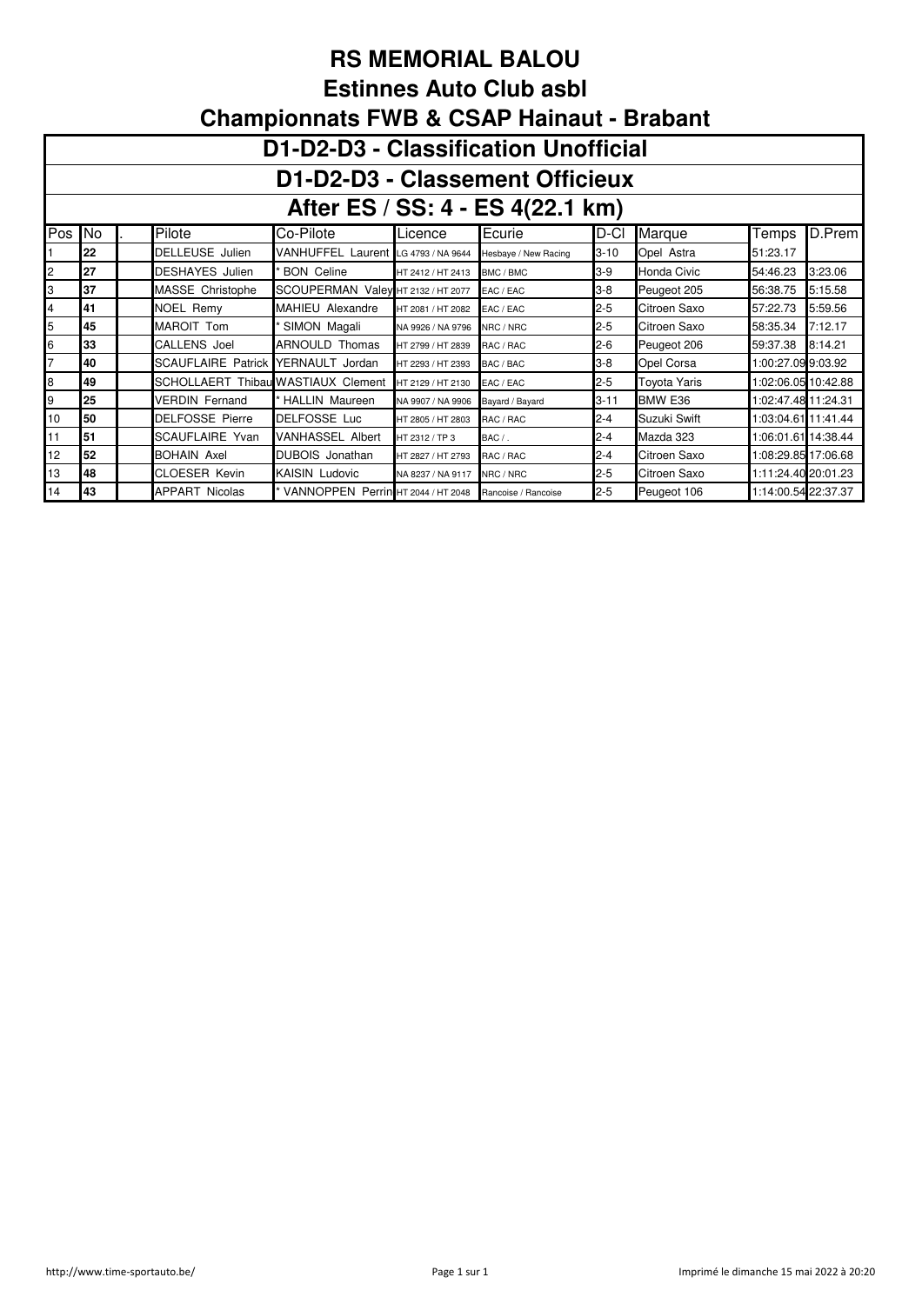## **RS MEMORIAL BALOU Estinnes Auto Club asbl Championnats FWB & CSAP Hainaut - Brabant**

|                | D1-D2-D3 - Classification Unofficial                                                       |  |                                    |                                      |                   |                      |          |                     |                     |         |  |  |  |  |
|----------------|--------------------------------------------------------------------------------------------|--|------------------------------------|--------------------------------------|-------------------|----------------------|----------|---------------------|---------------------|---------|--|--|--|--|
|                | D1-D2-D3 - Classement Officieux                                                            |  |                                    |                                      |                   |                      |          |                     |                     |         |  |  |  |  |
|                | After ES / SS: 4 - ES 4(22.1 km)                                                           |  |                                    |                                      |                   |                      |          |                     |                     |         |  |  |  |  |
| Pos            | D.Prem<br>Pilote<br>Marque<br><b>No</b><br>Co-Pilote<br>Ecurie<br>D-Cl<br>Temps<br>Licence |  |                                    |                                      |                   |                      |          |                     |                     |         |  |  |  |  |
|                | 22                                                                                         |  | <b>DELLEUSE</b> Julien             | VANHUFFEL Laurent LG 4793 / NA 9644  |                   | Hesbaye / New Racing | $3 - 10$ | Opel Astra          | 51:23.17            |         |  |  |  |  |
| 2              | 27                                                                                         |  | <b>DESHAYES</b> Julien             | <b>BON Celine</b>                    | HT 2412 / HT 2413 | BMC / BMC            | $3-9$    | Honda Civic         | 54:46.23            | 3:23.06 |  |  |  |  |
| 3              | 37                                                                                         |  | MASSE Christophe                   | SCOUPERMAN Valey HT 2132 / HT 2077   |                   | EAC / EAC            | $3 - 8$  | Peugeot 205         | 56:38.75            | 5:15.58 |  |  |  |  |
| 4              | 41                                                                                         |  | NOEL Remy                          | MAHIEU Alexandre                     | HT 2081 / HT 2082 | EAC / EAC            | $2 - 5$  | Citroen Saxo        | 57:22.73            | 5:59.56 |  |  |  |  |
| 5              | 45                                                                                         |  | MAROIT Tom                         | SIMON Magali                         | NA 9926 / NA 9796 | NRC / NRC            | $2 - 5$  | Citroen Saxo        | 58:35.34            | 7:12.17 |  |  |  |  |
| 6              | 33                                                                                         |  | CALLENS Joel                       | <b>ARNOULD Thomas</b>                | HT 2799 / HT 2839 | RAC / RAC            | $2-6$    | Peugeot 206         | 59:37.38            | 8:14.21 |  |  |  |  |
| $\overline{7}$ | 40                                                                                         |  | <b>SCAUFLAIRE Patrick</b>          | YERNAULT Jordan                      | HT 2293 / HT 2393 | BAC / BAC            | $3-8$    | Opel Corsa          | 1:00:27.09 9:03.92  |         |  |  |  |  |
| 8              | 49                                                                                         |  | SCHOLLAERT Thibau WASTIAUX Clement |                                      | HT 2129 / HT 2130 | EAC / EAC            | $2 - 5$  | <b>Toyota Yaris</b> | 1:02:06.05 10:42.88 |         |  |  |  |  |
| 9              | 25                                                                                         |  | <b>VERDIN Fernand</b>              | * HALLIN Maureen                     | NA 9907 / NA 9906 | Bayard / Bayard      | $3 - 11$ | BMW E36             | 1:02:47.48 11:24.31 |         |  |  |  |  |
| 10             | 50                                                                                         |  | <b>DELFOSSE Pierre</b>             | DELFOSSE Luc                         | HT 2805 / HT 2803 | RAC / RAC            | $2 - 4$  | Suzuki Swift        | 1:03:04.61 11:41.44 |         |  |  |  |  |
| 11             | 51                                                                                         |  | SCAUFLAIRE Yvan                    | <b>VANHASSEL Albert</b>              | HT 2312 / TP 3    | $BAC/$ .             | $2 - 4$  | Mazda 323           | 1:06:01.61 14:38.44 |         |  |  |  |  |
| 12             | 52                                                                                         |  | <b>BOHAIN Axel</b>                 | DUBOIS Jonathan                      | HT 2827 / HT 2793 | RAC / RAC            | 2-4      | Citroen Saxo        | 1:08:29.85 17:06.68 |         |  |  |  |  |
| 13             | 48                                                                                         |  | CLOESER Kevin                      | <b>KAISIN Ludovic</b>                | NA 8237 / NA 9117 | NRC / NRC            | $2 - 5$  | Citroen Saxo        | 1:11:24.40 20:01.23 |         |  |  |  |  |
| 14             | 43                                                                                         |  | <b>APPART Nicolas</b>              | * VANNOPPEN Perrin HT 2044 / HT 2048 |                   | Rancoise / Rancoise  | $2 - 5$  | Peugeot 106         | 1:14:00.54 22:37.37 |         |  |  |  |  |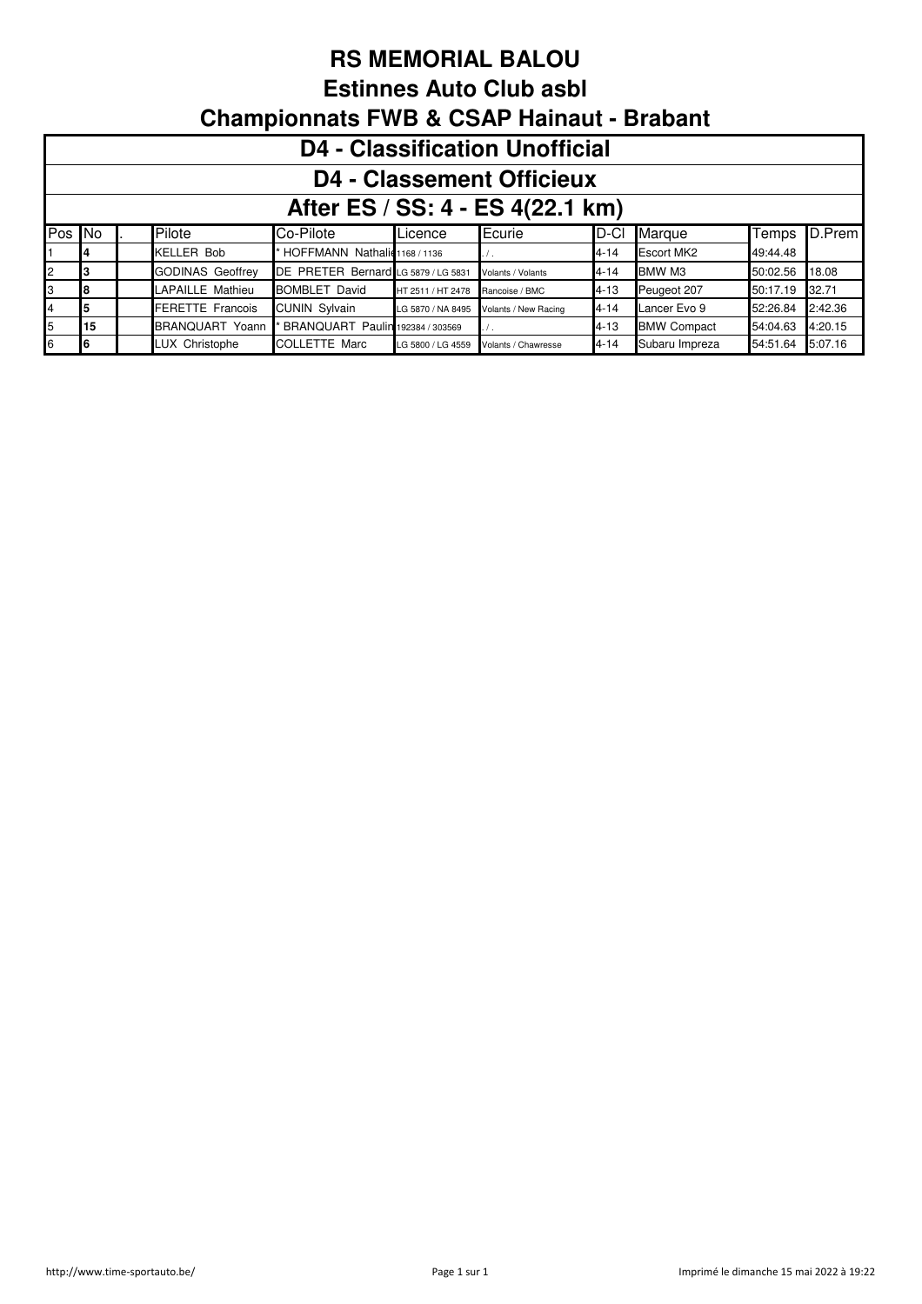**Estinnes Auto Club asbl**

|        | <b>D4 - Classification Unofficial</b> |  |                         |                                     |                   |                      |          |                    |          |         |  |  |  |  |
|--------|---------------------------------------|--|-------------------------|-------------------------------------|-------------------|----------------------|----------|--------------------|----------|---------|--|--|--|--|
|        | <b>D4 - Classement Officieux</b>      |  |                         |                                     |                   |                      |          |                    |          |         |  |  |  |  |
|        | After ES / SS: 4 - ES 4(22.1 km)      |  |                         |                                     |                   |                      |          |                    |          |         |  |  |  |  |
| Pos No |                                       |  | Pilote                  | Co-Pilote                           | Licence           | Ecurie               | ID-CI    | Marque             | Temps    | D.Prem  |  |  |  |  |
|        |                                       |  | <b>KELLER Bob</b>       | HOFFMANN Nathalic 1168 / 1136       |                   |                      | $4 - 14$ | <b>Escort MK2</b>  | 49:44.48 |         |  |  |  |  |
| 12     |                                       |  | <b>GODINAS Geoffrey</b> | DE PRETER Bernard LG 5879 / LG 5831 |                   | Volants / Volants    | $4 - 14$ | BMW M3             | 50:02.56 | 18.08   |  |  |  |  |
| 13.    |                                       |  | LAPAILLE Mathieu        | <b>BOMBLET David</b>                | HT 2511 / HT 2478 | Rancoise / BMC       | 4-13     | Peugeot 207        | 50:17.19 | 32.71   |  |  |  |  |
| 4      |                                       |  | <b>FERETTE Francois</b> | <b>CUNIN Sylvain</b>                | LG 5870 / NA 8495 | Volants / New Racing | $4 - 14$ | Lancer Evo 9       | 52:26.84 | 2:42.36 |  |  |  |  |
| 5      | 15                                    |  | <b>BRANQUART Yoann</b>  | BRANQUART Paulin 192384 / 303569    |                   |                      | 4-13     | <b>BMW Compact</b> | 54:04.63 | 4:20.15 |  |  |  |  |
| 6      | 16                                    |  | LUX Christophe          | <b>COLLETTE Marc</b>                | LG 5800 / LG 4559 | Volants / Chawresse  | $4 - 14$ | Subaru Impreza     | 54:51.64 | 5:07.16 |  |  |  |  |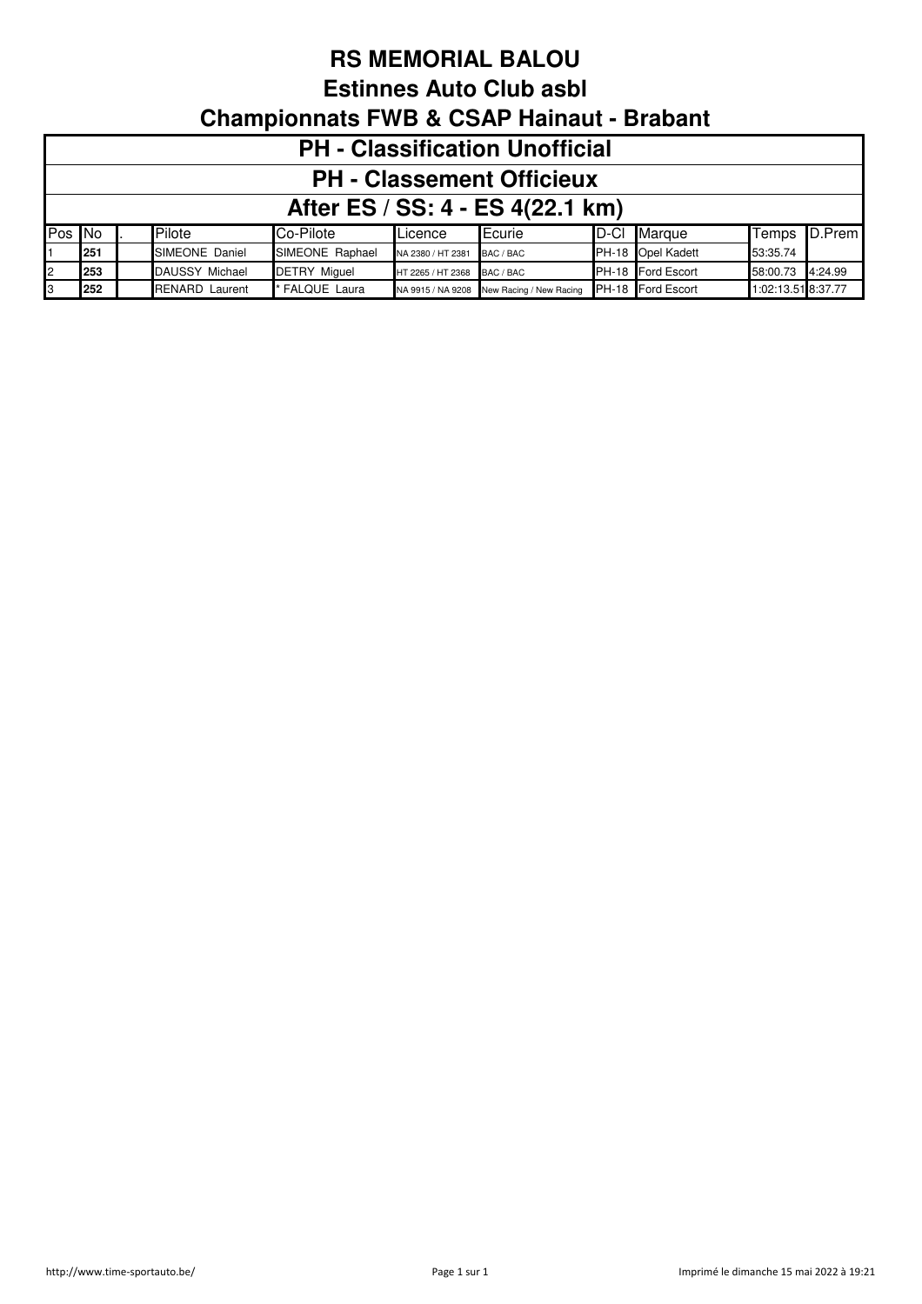**Estinnes Auto Club asbl**

|        | <b>PH - Classification Unofficial</b>                                                                                               |  |                |                 |                   |                 |  |                   |          |              |  |  |  |
|--------|-------------------------------------------------------------------------------------------------------------------------------------|--|----------------|-----------------|-------------------|-----------------|--|-------------------|----------|--------------|--|--|--|
|        | <b>PH - Classement Officieux</b>                                                                                                    |  |                |                 |                   |                 |  |                   |          |              |  |  |  |
|        | After ES / SS: 4 - ES 4(22.1 km)                                                                                                    |  |                |                 |                   |                 |  |                   |          |              |  |  |  |
| Pos No |                                                                                                                                     |  | Pilote         | Co-Pilote       | Licence           | <b>I</b> Ecurie |  | D-Cl Marque       |          | Temps D.Prem |  |  |  |
|        | 251                                                                                                                                 |  | SIMEONE Daniel | SIMEONE Raphael | NA 2380 / HT 2381 | BAC / BAC       |  | PH-18 Opel Kadett | 53:35.74 |              |  |  |  |
| 2      | PH-18 Ford Escort<br>253<br>DAUSSY Michael<br>58:00.73 4:24.99<br><b>DETRY Miguel</b><br>HT 2265 / HT 2368 BAC / BAC                |  |                |                 |                   |                 |  |                   |          |              |  |  |  |
| 3      | NA 9915 / NA 9208 New Racing / New Racing PH-18 Ford Escort<br>* FALQUE Laura<br>252<br><b>RENARD Laurent</b><br>1:02:13.51 8:37.77 |  |                |                 |                   |                 |  |                   |          |              |  |  |  |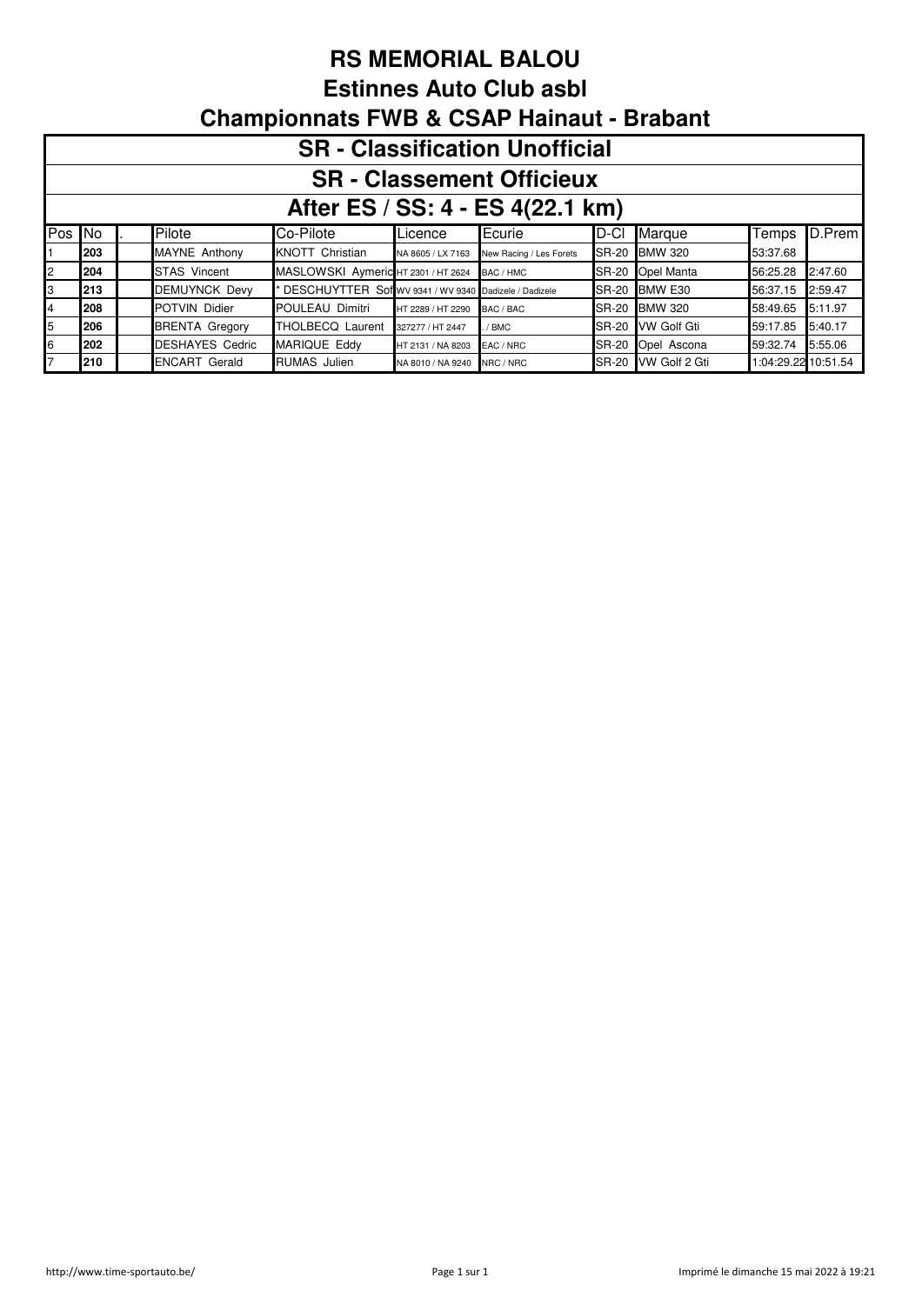**Estinnes Auto Club asbl**

|     | <b>SR</b> - Classification Unofficial |  |                        |                                                         |                   |                         |       |                     |                     |         |  |  |  |  |
|-----|---------------------------------------|--|------------------------|---------------------------------------------------------|-------------------|-------------------------|-------|---------------------|---------------------|---------|--|--|--|--|
|     | <b>SR - Classement Officieux</b>      |  |                        |                                                         |                   |                         |       |                     |                     |         |  |  |  |  |
|     | After ES / SS: 4 - ES 4(22.1 km)      |  |                        |                                                         |                   |                         |       |                     |                     |         |  |  |  |  |
| Pos | No.                                   |  | Pilote                 | Co-Pilote                                               | Licence           | ∎Ecurie                 | ID-CI | Marque              | Temps               | D.Prem  |  |  |  |  |
|     | 203                                   |  | MAYNE Anthony          | <b>KNOTT Christian</b>                                  | NA 8605 / LX 7163 | New Racing / Les Forets |       | SR-20 BMW 320       | 53:37.68            |         |  |  |  |  |
| 2   | 204                                   |  | <b>STAS Vincent</b>    | MASLOWSKI Aymeric HT 2301 / HT 2624 BAC / HMC           |                   |                         |       | SR-20 Opel Manta    | 56:25.28            | 2:47.60 |  |  |  |  |
| 3   | 213                                   |  | <b>DEMUYNCK Devy</b>   | * DESCHUYTTER Sof WV 9341 / WV 9340 Dadizele / Dadizele |                   |                         |       | SR-20 BMW E30       | 56:37.15            | 2:59.47 |  |  |  |  |
| 4   | 208                                   |  | POTVIN Didier          | POULEAU Dimitri                                         | HT 2289 / HT 2290 | BAC / BAC               |       | SR-20 BMW 320       | 58:49.65            | 5:11.97 |  |  |  |  |
| 5   | 206                                   |  | <b>BRENTA Gregory</b>  | <b>THOLBECQ Laurent</b>                                 | 327277 / HT 2447  | / BMC                   | SR-20 | <b>VW Golf Gti</b>  | 59:17.85            | 5:40.17 |  |  |  |  |
| 6   | 202                                   |  | <b>DESHAYES Cedric</b> | <b>MARIQUE Eddy</b>                                     | HT 2131 / NA 8203 | EAC / NRC               |       | SR-20 Opel Ascona   | 59:32.74            | 5:55.06 |  |  |  |  |
|     | 210                                   |  | <b>ENCART Gerald</b>   | <b>RUMAS</b> Julien                                     | NA 8010 / NA 9240 | NRC / NRC               |       | SR-20 VW Golf 2 Gti | 1:04:29.22 10:51.54 |         |  |  |  |  |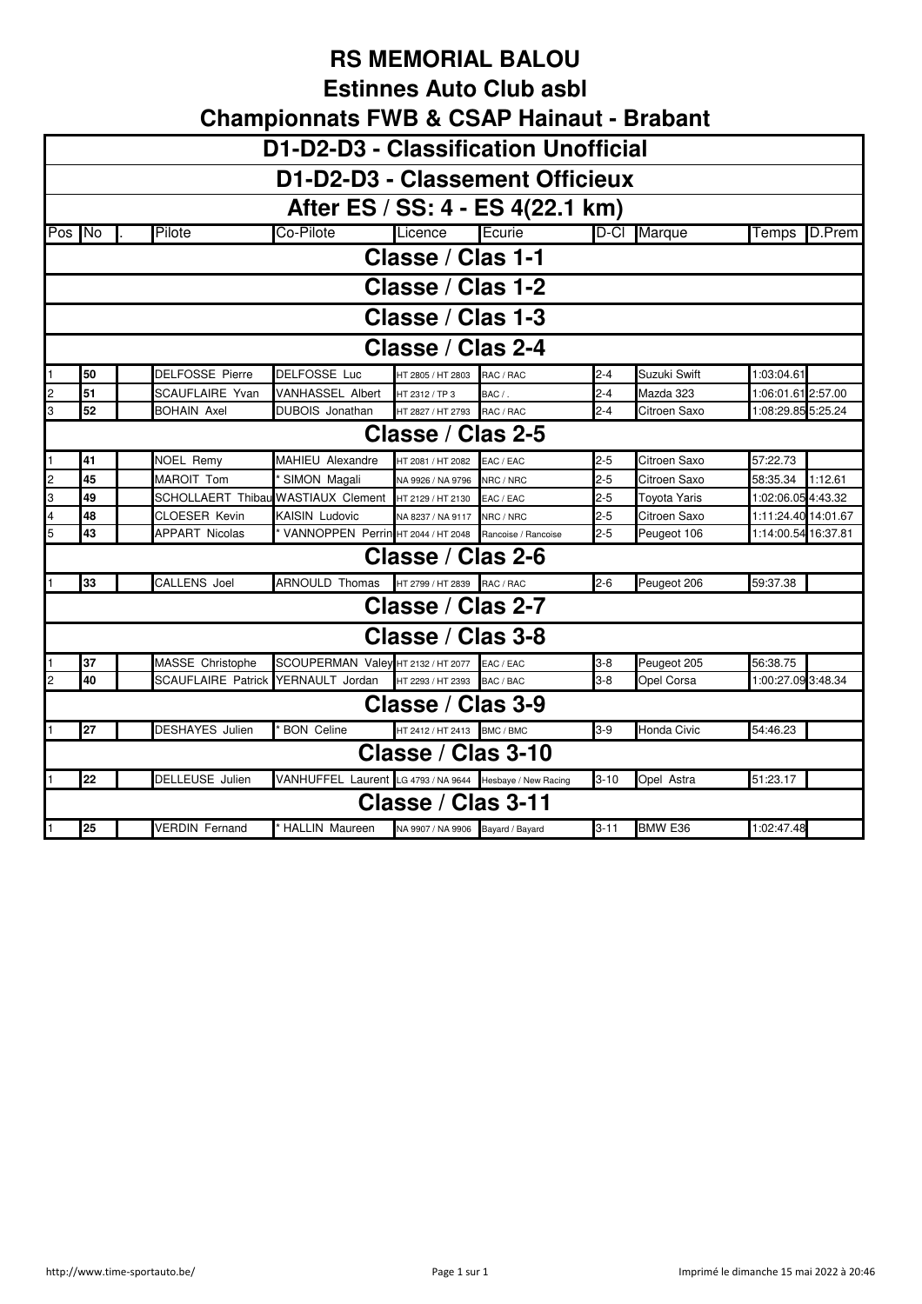**Estinnes Auto Club asbl**

|        | <b>Championnats FWB &amp; CSAP Hainaut - Brabant</b> |                           |                                                          |                                   |                     |          |                     |                     |  |  |  |  |  |
|--------|------------------------------------------------------|---------------------------|----------------------------------------------------------|-----------------------------------|---------------------|----------|---------------------|---------------------|--|--|--|--|--|
|        | D1-D2-D3 - Classification Unofficial                 |                           |                                                          |                                   |                     |          |                     |                     |  |  |  |  |  |
|        | D1-D2-D3 - Classement Officieux                      |                           |                                                          |                                   |                     |          |                     |                     |  |  |  |  |  |
|        | After ES / SS: 4 - ES 4(22.1 km)                     |                           |                                                          |                                   |                     |          |                     |                     |  |  |  |  |  |
| Pos No |                                                      | Pilote                    | Co-Pilote                                                | Licence                           | Ecurie              | $D-CI$   | Marque              | D.Prem<br>Temps     |  |  |  |  |  |
|        | Classe / Clas 1-1                                    |                           |                                                          |                                   |                     |          |                     |                     |  |  |  |  |  |
|        | Classe / Clas 1-2                                    |                           |                                                          |                                   |                     |          |                     |                     |  |  |  |  |  |
|        | Classe / Clas 1-3                                    |                           |                                                          |                                   |                     |          |                     |                     |  |  |  |  |  |
|        | Classe / Clas 2-4                                    |                           |                                                          |                                   |                     |          |                     |                     |  |  |  |  |  |
|        | 50                                                   | <b>DELFOSSE Pierre</b>    | <b>DELFOSSE Luc</b>                                      | HT 2805 / HT 2803                 | RAC / RAC           | $2 - 4$  | Suzuki Swift        | 1:03:04.61          |  |  |  |  |  |
|        | 51                                                   | SCAUFLAIRE Yvan           | VANHASSEL Albert                                         | HT 2312 / TP 3                    | BAC / .             | $2 - 4$  | Mazda 323           | 1:06:01.61 2:57.00  |  |  |  |  |  |
| 3      | 52                                                   | <b>BOHAIN Axel</b>        | DUBOIS Jonathan                                          | HT 2827 / HT 2793 RAC / RAC       |                     | $2 - 4$  | Citroen Saxo        | 1:08:29.85 5:25.24  |  |  |  |  |  |
|        | Classe / Clas 2-5                                    |                           |                                                          |                                   |                     |          |                     |                     |  |  |  |  |  |
|        | 41                                                   | NOEL Remy                 | MAHIEU Alexandre                                         | HT 2081 / HT 2082                 | EAC / EAC           | $2 - 5$  | Citroen Saxo        | 57:22.73            |  |  |  |  |  |
| 2      | 45                                                   | MAROIT Tom                | SIMON Magali                                             | NA 9926 / NA 9796                 | NRC / NRC           | $2 - 5$  | Citroen Saxo        | 1:12.61<br>58:35.34 |  |  |  |  |  |
| 3      | 49                                                   | <b>SCHOLLAERT Thibat</b>  | <b>WASTIAUX Clement</b>                                  | HT 2129 / HT 2130                 | EAC / EAC           | $2 - 5$  | <b>Toyota Yaris</b> | 1:02:06.05 4:43.32  |  |  |  |  |  |
| 4      | 48                                                   | <b>CLOESER Kevin</b>      | KAISIN Ludovic                                           | NA 8237 / NA 9117                 | NRC / NRC           | $2 - 5$  | Citroen Saxo        | 1:11:24.40 14:01.67 |  |  |  |  |  |
| 5      | 43                                                   | <b>APPART Nicolas</b>     | VANNOPPEN Perrin HT 2044 / HT 2048                       |                                   | Rancoise / Rancoise | $2 - 5$  | Peugeot 106         | 1:14:00.54 16:37.81 |  |  |  |  |  |
|        |                                                      |                           |                                                          | Classe / Clas 2-6                 |                     |          |                     |                     |  |  |  |  |  |
|        | 33                                                   | <b>CALLENS Joel</b>       | <b>ARNOULD Thomas</b>                                    | HT 2799 / HT 2839 RAC / RAC       |                     | $2-6$    | Peugeot 206         | 59:37.38            |  |  |  |  |  |
|        |                                                      |                           |                                                          | Classe / Clas 2-7                 |                     |          |                     |                     |  |  |  |  |  |
|        |                                                      |                           |                                                          | Classe / Clas 3-8                 |                     |          |                     |                     |  |  |  |  |  |
|        | 37                                                   | MASSE Christophe          | SCOUPERMAN Valey HT 2132 / HT 2077                       |                                   | EAC / EAC           | $3 - 8$  | Peugeot 205         | 56:38.75            |  |  |  |  |  |
|        | 40                                                   | <b>SCAUFLAIRE Patrick</b> | YERNAULT Jordan                                          | HT 2293 / HT 2393                 | BAC / BAC           | $3-8$    | Opel Corsa          | 1:00:27.09 3:48.34  |  |  |  |  |  |
|        |                                                      |                           |                                                          | Classe / Clas 3-9                 |                     |          |                     |                     |  |  |  |  |  |
|        | 27                                                   | <b>DESHAYES</b> Julien    | <b>BON Celine</b>                                        | HT 2412 / HT 2413 BMC / BMC       |                     | $3-9$    | Honda Civic         | 54:46.23            |  |  |  |  |  |
|        |                                                      |                           |                                                          | Classe / Clas 3-10                |                     |          |                     |                     |  |  |  |  |  |
|        | 22                                                   | DELLEUSE Julien           | VANHUFFEL Laurent LG 4793 / NA 9644 Hesbaye / New Racing |                                   |                     | $3 - 10$ | Opel Astra          | 51:23.17            |  |  |  |  |  |
|        |                                                      |                           |                                                          | Classe / Clas 3-11                |                     |          |                     |                     |  |  |  |  |  |
| 1      | 25                                                   | <b>VERDIN</b> Fernand     | * HALLIN Maureen                                         | NA 9907 / NA 9906 Bayard / Bayard |                     | $3 - 11$ | BMW E36             | 1:02:47.48          |  |  |  |  |  |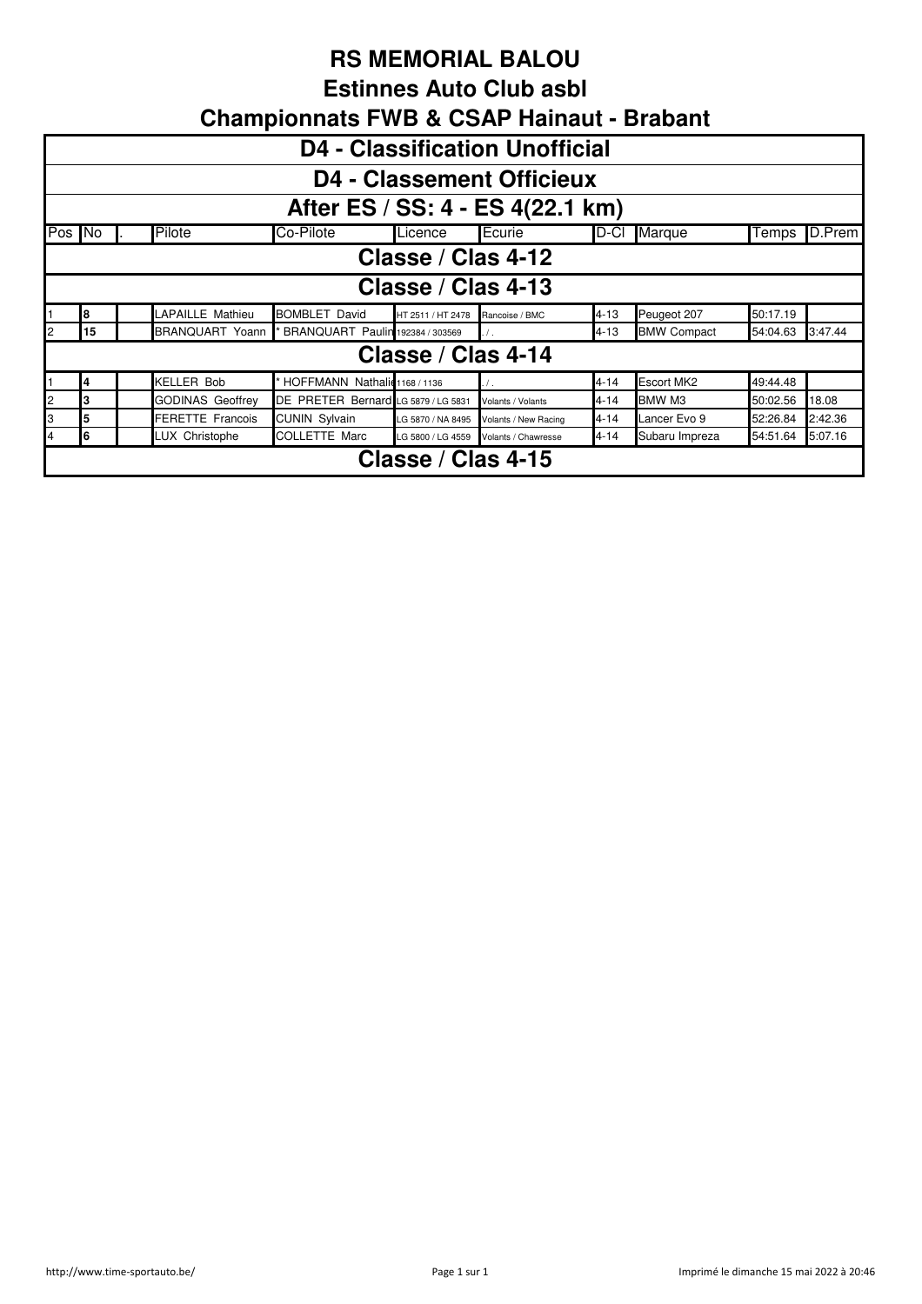**Estinnes Auto Club asbl**

|                | <b>D4 - Classification Unofficial</b>                                                            |                         |                                     |                    |                      |          |                    |          |         |  |  |  |  |
|----------------|--------------------------------------------------------------------------------------------------|-------------------------|-------------------------------------|--------------------|----------------------|----------|--------------------|----------|---------|--|--|--|--|
|                | <b>D4 - Classement Officieux</b>                                                                 |                         |                                     |                    |                      |          |                    |          |         |  |  |  |  |
|                | After ES / SS: 4 - ES 4(22.1 km)                                                                 |                         |                                     |                    |                      |          |                    |          |         |  |  |  |  |
|                | Pilote<br>Co-Pilote<br>Ecurie<br>Pos No<br>$D-CI$<br><b>Marque</b><br>D.Prem<br>Licence<br>Temps |                         |                                     |                    |                      |          |                    |          |         |  |  |  |  |
|                | Classe / Clas 4-12                                                                               |                         |                                     |                    |                      |          |                    |          |         |  |  |  |  |
|                | Classe / Clas 4-13                                                                               |                         |                                     |                    |                      |          |                    |          |         |  |  |  |  |
|                | 8                                                                                                | LAPAILLE Mathieu        | <b>BOMBLET David</b>                | HT 2511 / HT 2478  | Rancoise / BMC       | $4 - 13$ | Peugeot 207        | 50:17.19 |         |  |  |  |  |
| 2              | 15                                                                                               | BRANQUART Yoann         | BRANQUART Paulin 192384 / 303569    |                    |                      | 4-13     | <b>BMW Compact</b> | 54:04.63 | 3:47.44 |  |  |  |  |
|                |                                                                                                  |                         |                                     | Classe / Clas 4-14 |                      |          |                    |          |         |  |  |  |  |
|                |                                                                                                  | <b>KELLER Bob</b>       | HOFFMANN Nathalid 1168 / 1136       |                    | $\prime$ .           | $4 - 14$ | <b>Escort MK2</b>  | 49:44.48 |         |  |  |  |  |
| $\overline{c}$ |                                                                                                  | <b>GODINAS Geoffrey</b> | DE PRETER Bernard LG 5879 / LG 5831 |                    | Volants / Volants    | $4 - 14$ | BMW M3             | 50:02.56 | 18.08   |  |  |  |  |
| 3              | 5                                                                                                | <b>FERETTE Francois</b> | <b>CUNIN Sylvain</b>                | LG 5870 / NA 8495  | Volants / New Racing | $4 - 14$ | Lancer Evo 9       | 52:26.84 | 2:42.36 |  |  |  |  |
| 4              | հ                                                                                                | LUX Christophe          | <b>COLLETTE Marc</b>                | LG 5800 / LG 4559  | Volants / Chawresse  | $4 - 14$ | Subaru Impreza     | 54:51.64 | 5:07.16 |  |  |  |  |
|                | Classe / Clas 4-15                                                                               |                         |                                     |                    |                      |          |                    |          |         |  |  |  |  |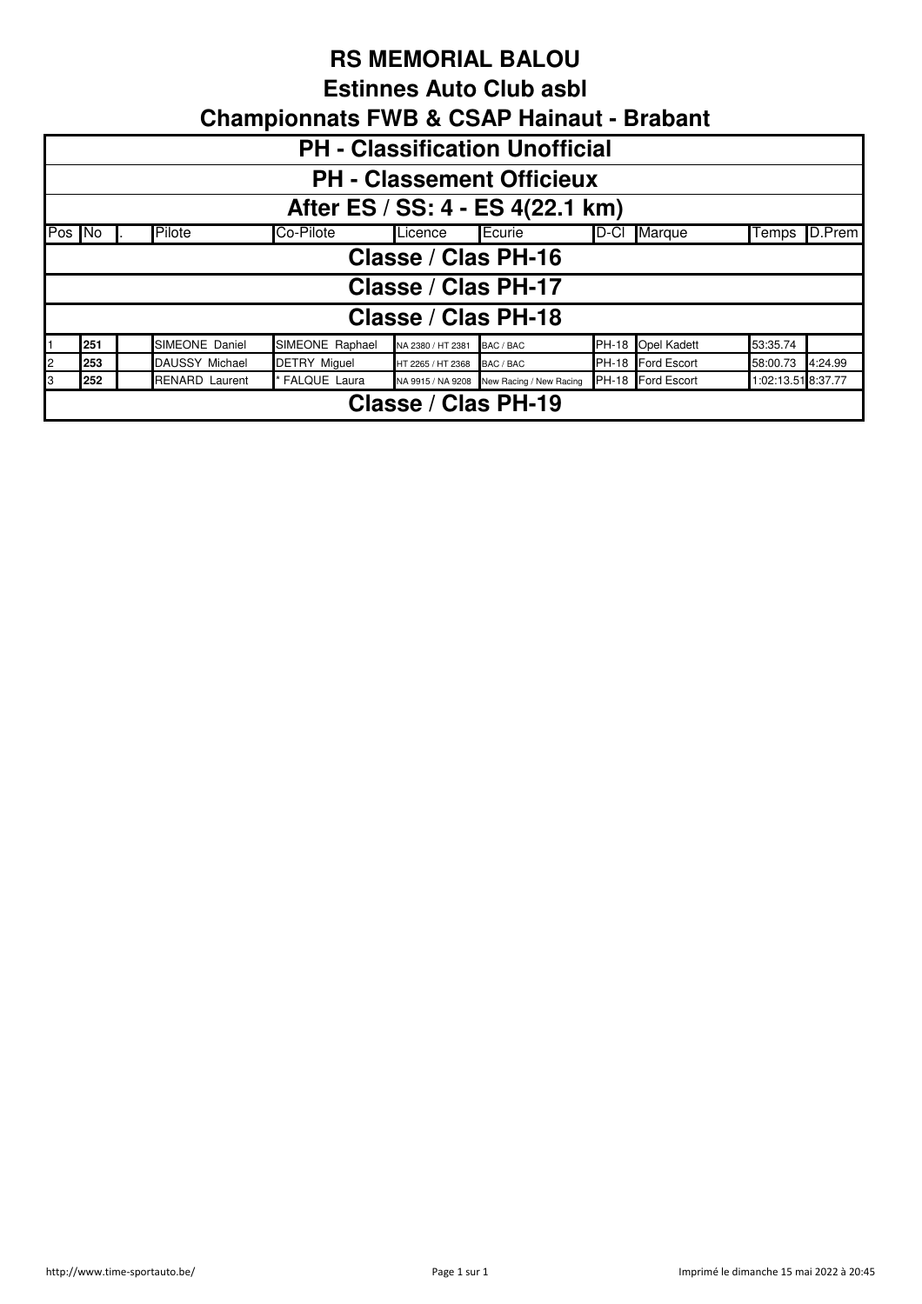#### **Estinnes Auto Club asbl**

|   | <b>PH - Classification Unofficial</b>                                                                                                       |  |                       |                     |                             |           |  |                   |          |         |  |  |  |
|---|---------------------------------------------------------------------------------------------------------------------------------------------|--|-----------------------|---------------------|-----------------------------|-----------|--|-------------------|----------|---------|--|--|--|
|   | <b>PH - Classement Officieux</b>                                                                                                            |  |                       |                     |                             |           |  |                   |          |         |  |  |  |
|   | After ES / SS: 4 - ES 4(22.1 km)                                                                                                            |  |                       |                     |                             |           |  |                   |          |         |  |  |  |
|   | Pilote<br>Co-Pilote<br>Ecurie<br>Pos No<br>Licence<br>$D-CI$<br><b>Marque</b><br><b>ID.Prem</b><br>Temps                                    |  |                       |                     |                             |           |  |                   |          |         |  |  |  |
|   |                                                                                                                                             |  |                       |                     | Classe / Clas PH-16         |           |  |                   |          |         |  |  |  |
|   |                                                                                                                                             |  |                       |                     | Classe / Clas PH-17         |           |  |                   |          |         |  |  |  |
|   |                                                                                                                                             |  |                       |                     | Classe / Clas PH-18         |           |  |                   |          |         |  |  |  |
|   | 251                                                                                                                                         |  | SIMEONE Daniel        | SIMEONE Raphael     | NA 2380 / HT 2381           | BAC / BAC |  | PH-18 Opel Kadett | 53:35.74 |         |  |  |  |
|   | 253                                                                                                                                         |  | <b>DAUSSY Michael</b> | <b>DETRY Miquel</b> | HT 2265 / HT 2368 BAC / BAC |           |  | PH-18 Ford Escort | 58:00.73 | 4:24.99 |  |  |  |
| 3 | PH-18 Ford Escort<br><b>RENARD Laurent</b><br><b>FALQUE Laura</b><br>1:02:13.51 8:37.77<br>252<br>NA 9915 / NA 9208 New Racing / New Racing |  |                       |                     |                             |           |  |                   |          |         |  |  |  |
|   | Classe / Clas PH-19                                                                                                                         |  |                       |                     |                             |           |  |                   |          |         |  |  |  |